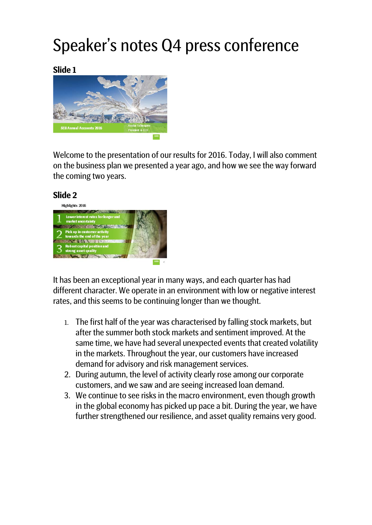# Speaker's notes Q4 press conference

**Slide 1**



Welcome to the presentation of our results for 2016. Today, I will also comment on the business plan we presented a year ago, and how we see the way forward the coming two years.



It has been an exceptional year in many ways, and each quarter has had different character. We operate in an environment with low or negative interest rates, and this seems to be continuing longer than we thought.

- 1. The first half of the year was characterised by falling stock markets, but after the summer both stock markets and sentiment improved. At the same time, we have had several unexpected events that created volatility in the markets. Throughout the year, our customers have increased demand for advisory and risk management services.
- 2. During autumn, the level of activity clearly rose among our corporate customers, and we saw and are seeing increased loan demand.
- 3. We continue to see risks in the macro environment, even though growth in the global economy has picked up pace a bit. During the year, we have further strengthened our resilience, and asset quality remains very good.

#### **Slide 2**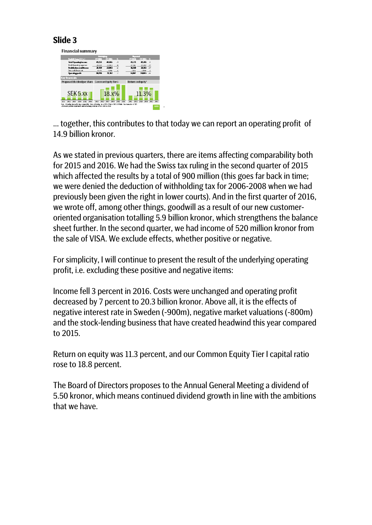**Financial summary** vinor share Cor  $SEK$  5. XX  $18.x\%$ 11.3%

… together, this contributes to that today we can report an operating profit of 14.9 billion kronor.

As we stated in previous quarters, there are items affecting comparability both for 2015 and 2016. We had the Swiss tax ruling in the second quarter of 2015 which affected the results by a total of 900 million (this goes far back in time; we were denied the deduction of withholding tax for 2006-2008 when we had previously been given the right in lower courts). And in the first quarter of 2016, we wrote off, among other things, goodwill as a result of our new customeroriented organisation totalling 5.9 billion kronor, which strengthens the balance sheet further. In the second quarter, we had income of 520 million kronor from the sale of VISA. We exclude effects, whether positive or negative.

For simplicity, I will continue to present the result of the underlying operating profit, i.e. excluding these positive and negative items:

Income fell 3 percent in 2016. Costs were unchanged and operating profit decreased by 7 percent to 20.3 billion kronor. Above all, it is the effects of negative interest rate in Sweden (-900m), negative market valuations (-800m) and the stock-lending business that have created headwind this year compared to 2015.

Return on equity was 11.3 percent, and our Common Equity Tier I capital ratio rose to 18.8 percent.

The Board of Directors proposes to the Annual General Meeting a dividend of 5.50 kronor, which means continued dividend growth in line with the ambitions that we have.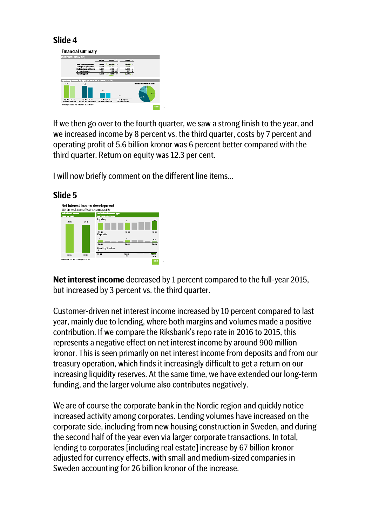

If we then go over to the fourth quarter, we saw a strong finish to the year, and we increased income by 8 percent vs. the third quarter, costs by 7 percent and operating profit of 5.6 billion kronor was 6 percent better compared with the third quarter. Return on equity was 12.3 per cent.

I will now briefly comment on the different line items…



**Slide 5**

**Net interest income** decreased by 1 percent compared to the full-year 2015, but increased by 3 percent vs. the third quarter.

Customer-driven net interest income increased by 10 percent compared to last year, mainly due to lending, where both margins and volumes made a positive contribution. If we compare the Riksbank's repo rate in 2016 to 2015, this represents a negative effect on net interest income by around 900 million kronor. This is seen primarily on net interest income from deposits and from our treasury operation, which finds it increasingly difficult to get a return on our increasing liquidity reserves. At the same time, we have extended our long-term funding, and the larger volume also contributes negatively.

We are of course the corporate bank in the Nordic region and quickly notice increased activity among corporates. Lending volumes have increased on the corporate side, including from new housing construction in Sweden, and during the second half of the year even via larger corporate transactions. In total, lending to corporates [including real estate] increase by 67 billion kronor adjusted for currency effects, with small and medium-sized companies in Sweden accounting for 26 billion kronor of the increase.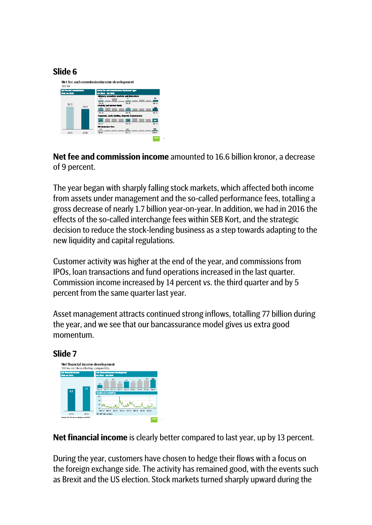

**Net fee and commission income** amounted to 16.6 billion kronor, a decrease of 9 percent.

The year began with sharply falling stock markets, which affected both income from assets under management and the so-called performance fees, totalling a gross decrease of nearly 1.7 billion year-on-year. In addition, we had in 2016 the effects of the so-called interchange fees within SEB Kort, and the strategic decision to reduce the stock-lending business as a step towards adapting to the new liquidity and capital regulations.

Customer activity was higher at the end of the year, and commissions from IPOs, loan transactions and fund operations increased in the last quarter. Commission income increased by 14 percent vs. the third quarter and by 5 percent from the same quarter last year.

Asset management attracts continued strong inflows, totalling 77 billion during the year, and we see that our bancassurance model gives us extra good momentum.



**Net financial income** is clearly better compared to last year, up by 13 percent.

During the year, customers have chosen to hedge their flows with a focus on the foreign exchange side. The activity has remained good, with the events such as Brexit and the US election. Stock markets turned sharply upward during the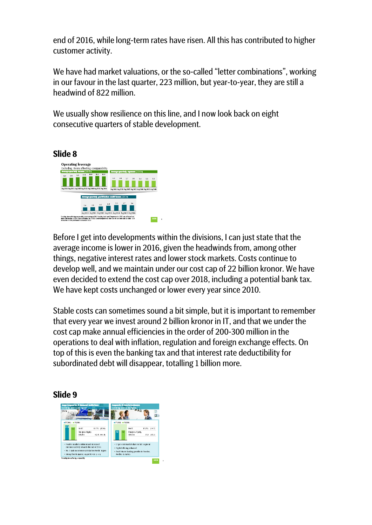end of 2016, while long-term rates have risen. All this has contributed to higher customer activity.

We have had market valuations, or the so-called "letter combinations", working in our favour in the last quarter, 223 million, but year-to-year, they are still a headwind of 822 million.

We usually show resilience on this line, and I now look back on eight consecutive quarters of stable development.



Before I get into developments within the divisions, I can just state that the average income is lower in 2016, given the headwinds from, among other things, negative interest rates and lower stock markets. Costs continue to develop well, and we maintain under our cost cap of 22 billion kronor. We have even decided to extend the cost cap over 2018, including a potential bank tax. We have kept costs unchanged or lower every year since 2010.

Stable costs can sometimes sound a bit simple, but it is important to remember that every year we invest around 2 billion kronor in IT, and that we under the cost cap make annual efficiencies in the order of 200-300 million in the operations to deal with inflation, regulation and foreign exchange effects. On top of this is even the banking tax and that interest rate deductibility for subordinated debt will disappear, totalling 1 billion more.

#### **Slide 9**

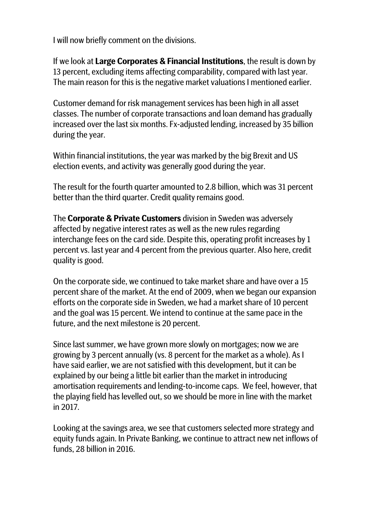I will now briefly comment on the divisions.

If we look at **Large Corporates & Financial Institutions**, the result is down by 13 percent, excluding items affecting comparability, compared with last year. The main reason for this is the negative market valuations I mentioned earlier.

Customer demand for risk management services has been high in all asset classes. The number of corporate transactions and loan demand has gradually increased over the last six months. Fx-adjusted lending, increased by 35 billion during the year.

Within financial institutions, the year was marked by the big Brexit and US election events, and activity was generally good during the year.

The result for the fourth quarter amounted to 2.8 billion, which was 31 percent better than the third quarter. Credit quality remains good.

The **Corporate & Private Customers** division in Sweden was adversely affected by negative interest rates as well as the new rules regarding interchange fees on the card side. Despite this, operating profit increases by 1 percent vs. last year and 4 percent from the previous quarter. Also here, credit quality is good.

On the corporate side, we continued to take market share and have over a 15 percent share of the market. At the end of 2009, when we began our expansion efforts on the corporate side in Sweden, we had a market share of 10 percent and the goal was 15 percent. We intend to continue at the same pace in the future, and the next milestone is 20 percent.

Since last summer, we have grown more slowly on mortgages; now we are growing by 3 percent annually (vs. 8 percent for the market as a whole). As I have said earlier, we are not satisfied with this development, but it can be explained by our being a little bit earlier than the market in introducing amortisation requirements and lending-to-income caps. We feel, however, that the playing field has levelled out, so we should be more in line with the market in 2017.

Looking at the savings area, we see that customers selected more strategy and equity funds again. In Private Banking, we continue to attract new net inflows of funds, 28 billion in 2016.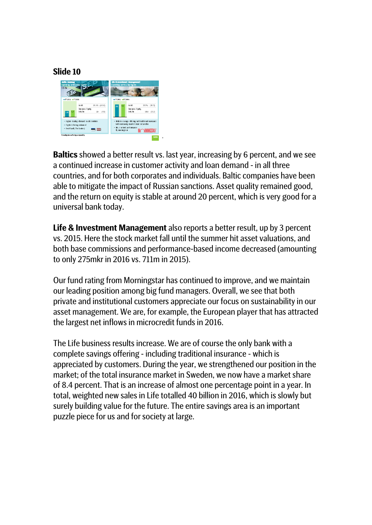

**Baltics** showed a better result vs. last year, increasing by 6 percent, and we see a continued increase in customer activity and loan demand - in all three countries, and for both corporates and individuals. Baltic companies have been able to mitigate the impact of Russian sanctions. Asset quality remained good, and the return on equity is stable at around 20 percent, which is very good for a universal bank today.

**Life & Investment Management** also reports a better result, up by 3 percent vs. 2015. Here the stock market fall until the summer hit asset valuations, and both base commissions and performance-based income decreased (amounting to only 275mkr in 2016 vs. 711m in 2015).

Our fund rating from Morningstar has continued to improve, and we maintain our leading position among big fund managers. Overall, we see that both private and institutional customers appreciate our focus on sustainability in our asset management. We are, for example, the European player that has attracted the largest net inflows in microcredit funds in 2016.

The Life business results increase. We are of course the only bank with a complete savings offering - including traditional insurance - which is appreciated by customers. During the year, we strengthened our position in the market; of the total insurance market in Sweden, we now have a market share of 8.4 percent. That is an increase of almost one percentage point in a year. In total, weighted new sales in Life totalled 40 billion in 2016, which is slowly but surely building value for the future. The entire savings area is an important puzzle piece for us and for society at large.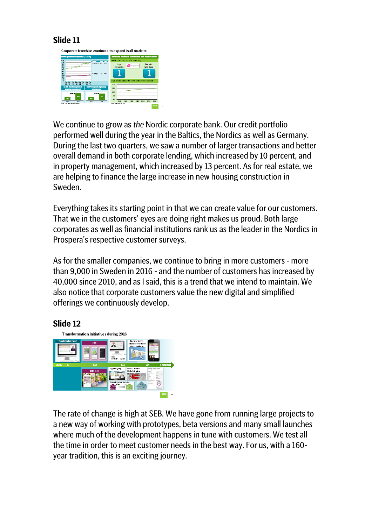

We continue to grow as *the* Nordic corporate bank. Our credit portfolio performed well during the year in the Baltics, the Nordics as well as Germany. During the last two quarters, we saw a number of larger transactions and better overall demand in both corporate lending, which increased by 10 percent, and in property management, which increased by 13 percent. As for real estate, we are helping to finance the large increase in new housing construction in Sweden.

Everything takes its starting point in that we can create value for our customers. That we in the customers' eyes are doing right makes us proud. Both large corporates as well as financial institutions rank us as the leader in the Nordics in Prospera's respective customer surveys.

As for the smaller companies, we continue to bring in more customers - more than 9,000 in Sweden in 2016 - and the number of customers has increased by 40,000 since 2010, and as I said, this is a trend that we intend to maintain. We also notice that corporate customers value the new digital and simplified offerings we continuously develop.

## **Slide 12**



The rate of change is high at SEB. We have gone from running large projects to a new way of working with prototypes, beta versions and many small launches where much of the development happens in tune with customers. We test all the time in order to meet customer needs in the best way. For us, with a 160 year tradition, this is an exciting journey.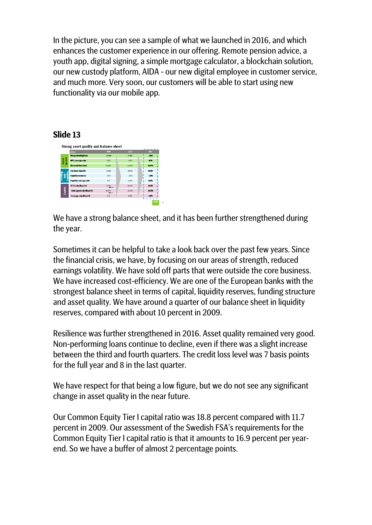In the picture, you can see a sample of what we launched in 2016, and which enhances the customer experience in our offering. Remote pension advice, a youth app, digital signing, a simple mortgage calculator, a blockchain solution, our new custody platform, AIDA - our new digital employee in customer service, and much more. Very soon, our customers will be able to start using new functionality via our mobile app.

### **Slide 13**

| (SKKA)                                 |                               | 2002                     | 2015       | 2016        |
|----------------------------------------|-------------------------------|--------------------------|------------|-------------|
|                                        | Non-performing loans          | 28 film                  | action     | zation      |
| Asset<br>quality<br>NPL coverage ratio |                               | 65%                      | <b>GZN</b> | ext.        |
| <b>Net confit loss lead</b>            |                               | n ozna                   | 0.06%      | on/K        |
| <b>Customer deposits</b>               |                               | 750km                    | satin.     | 902km       |
| Liquid ty resources<br>F               |                               | $\times$ ICF%            | $-25\%$    | $-25%$      |
|                                        | Liquid ty coverage ratio      | NA                       | 120%       | <b>MAY</b>  |
| CET1 ratio Basel 31                    |                               | 11.7%<br><b>Best on</b>  | 18.8%      | <b>B.XX</b> |
| Capital                                | Istal capital ratio (Basel 3) | 14.7%<br><b>Bratists</b> | 23, 8%     | 24.8%       |
|                                        | Leverage ratio (Basel 3)      | NA                       | $4.9\%$    | 5.8%        |

We have a strong balance sheet, and it has been further strengthened during the year.

Sometimes it can be helpful to take a look back over the past few years. Since the financial crisis, we have, by focusing on our areas of strength, reduced earnings volatility. We have sold off parts that were outside the core business. We have increased cost-efficiency. We are one of the European banks with the strongest balance sheet in terms of capital, liquidity reserves, funding structure and asset quality. We have around a quarter of our balance sheet in liquidity reserves, compared with about 10 percent in 2009.

Resilience was further strengthened in 2016. Asset quality remained very good. Non-performing loans continue to decline, even if there was a slight increase between the third and fourth quarters. The credit loss level was 7 basis points for the full year and 8 in the last quarter.

We have respect for that being a low figure, but we do not see any significant change in asset quality in the near future.

Our Common Equity Tier I capital ratio was 18.8 percent compared with 11.7 percent in 2009. Our assessment of the Swedish FSA's requirements for the Common Equity Tier I capital ratio is that it amounts to 16.9 percent per yearend. So we have a buffer of almost 2 percentage points.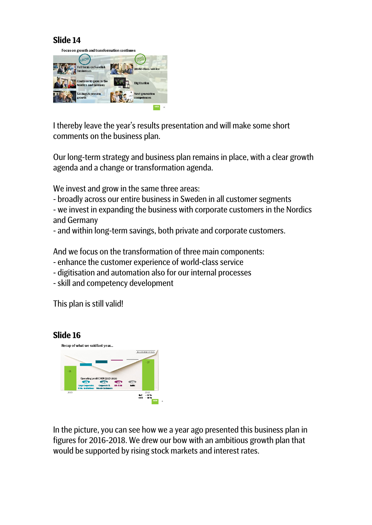

I thereby leave the year's results presentation and will make some short comments on the business plan.

Our long-term strategy and business plan remains in place, with a clear growth agenda and a change or transformation agenda.

We invest and grow in the same three areas:

- broadly across our entire business in Sweden in all customer segments

- we invest in expanding the business with corporate customers in the Nordics and Germany

- and within long-term savings, both private and corporate customers.

And we focus on the transformation of three main components:

- enhance the customer experience of world-class service
- digitisation and automation also for our internal processes
- -skill and competency development

This plan is still valid!



In the picture, you can see how we a year ago presented this business plan in figures for 2016-2018. We drew our bow with an ambitious growth plan that would be supported by rising stock markets and interest rates.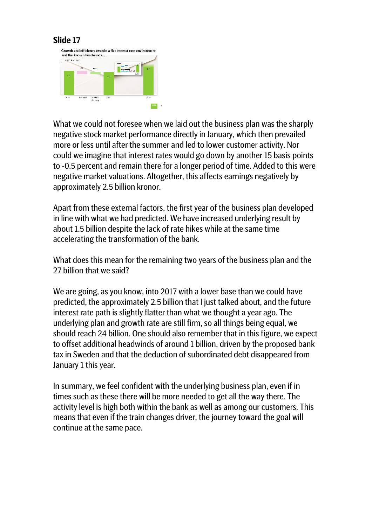

What we could not foresee when we laid out the business plan was the sharply negative stock market performance directly in January, which then prevailed more or less until after the summer and led to lower customer activity. Nor could we imagine that interest rates would go down by another 15 basis points to -0.5 percent and remain there for a longer period of time. Added to this were negative market valuations. Altogether, this affects earnings negatively by approximately 2.5 billion kronor.

Apart from these external factors, the first year of the business plan developed in line with what we had predicted. We have increased underlying result by about 1.5 billion despite the lack of rate hikes while at the same time accelerating the transformation of the bank.

What does this mean for the remaining two years of the business plan and the 27 billion that we said?

We are going, as you know, into 2017 with a lower base than we could have predicted, the approximately 2.5 billion that I just talked about, and the future interest rate path is slightly flatter than what we thought a year ago. The underlying plan and growth rate are still firm, so all things being equal, we should reach 24 billion. One should also remember that in this figure, we expect to offset additional headwinds of around 1 billion, driven by the proposed bank tax in Sweden and that the deduction of subordinated debt disappeared from January 1 this year.

In summary, we feel confident with the underlying business plan, even if in times such as these there will be more needed to get all the way there. The activity level is high both within the bank as well as among our customers. This means that even if the train changes driver, the journey toward the goal will continue at the same pace.